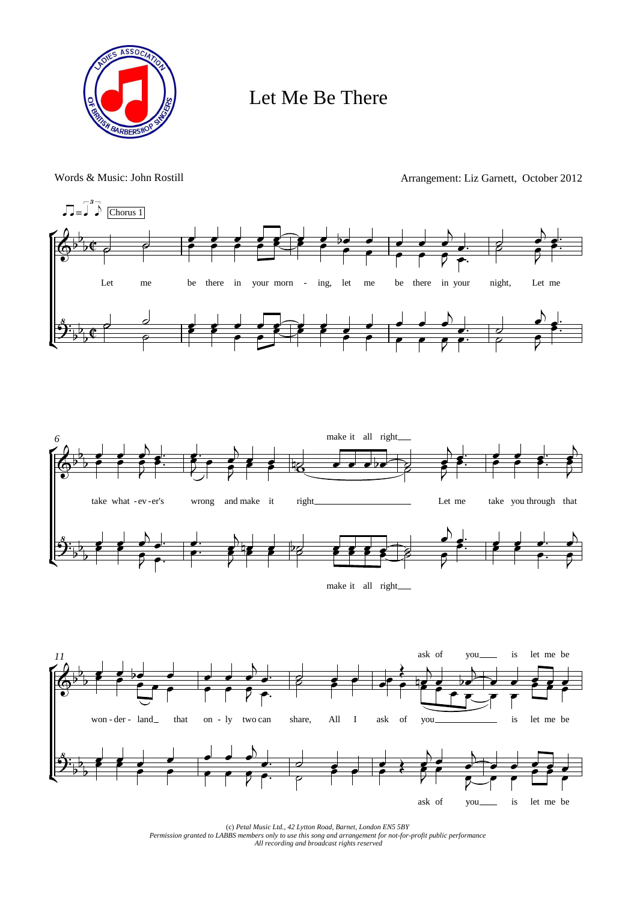

## Let Me Be There

Words & Music: John Rostill Arrangement: Liz Garnett, October 2012



(c) *Petal Music Ltd., 42 Lytton Road, Barnet, London EN5 5BY Permission granted to LABBS members only to use this song and arrangement for not-for-profit public performance All recording and broadcast rights reserved*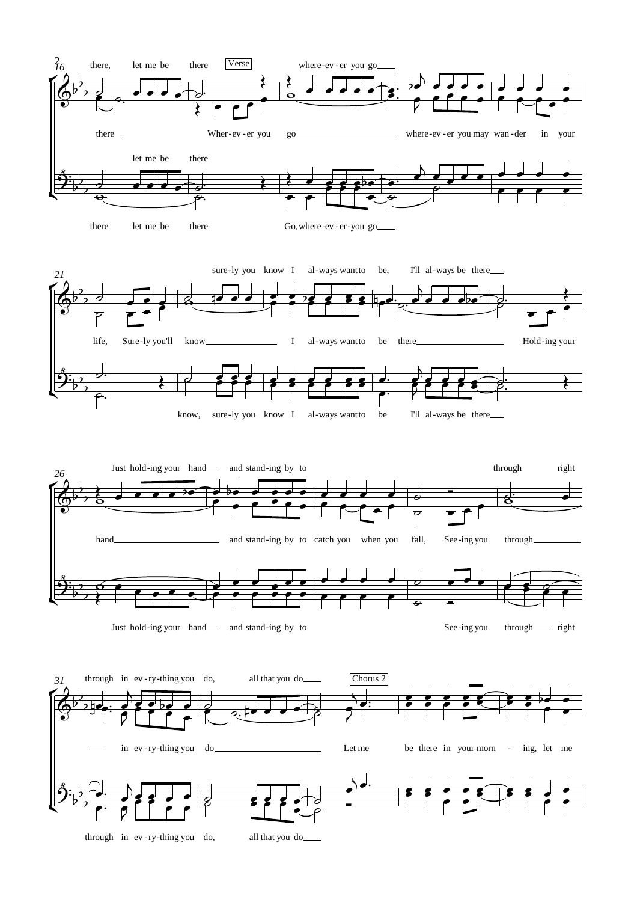

through in ev-ry-thing you do, all that you do